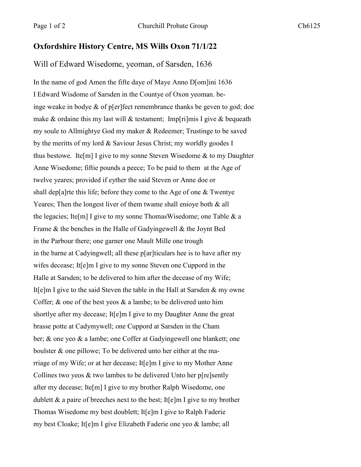## **Oxfordshire History Centre, MS Wills Oxon 71/1/22**

Will of Edward Wisedome, yeoman, of Sarsden, 1636

In the name of god Amen the fifte daye of Maye Anno D[om]ini 1636 I Edward Wisdome of Sarsden in the Countye of Oxon yeoman. beinge weake in bodye & of p[er]fect remembrance thanks be geven to god; doe make & ordaine this my last will & testament; Imp[ri]mis I give & bequeath my soule to Allmightye God my maker & Redeemer; Trustinge to be saved by the meritts of my lord & Saviour Jesus Christ; my worldly goodes I thus bestowe. Ite[m] I give to my sonne Steven Wisedome  $\&$  to my Daughter Anne Wisedome; fiftie pounds a peece; To be paid to them at the Age of twelve yeares; provided if eyther the said Steven or Anne doe or shall dep[a]rte this life; before they come to the Age of one & Twentye Yeares; Then the longest liver of them twame shall enioye both & all the legacies; Ite[m] I give to my sonne ThomasWisedome; one Table & a Frame & the benches in the Halle of Gadyingewell & the Joynt Bed in the Parbour there; one garner one Mault Mille one trough in the barne at Cadyingwell; all these p[ar]ticulars hee is to have after my wifes decease; It<sup>[e]</sup>m I give to my sonne Steven one Cuppord in the Halle at Sarsden; to be delivered to him after the decease of my Wife; It[e]m I give to the said Steven the table in the Hall at Sarsden & my owne Coffer;  $\&$  one of the best yeos  $\&$  a lambe; to be delivered unto him shortlye after my decease; It[e]m I give to my Daughter Anne the great brasse potte at Cadymywell; one Cuppord at Sarsden in the Cham ber; & one yeo & a lambe; one Coffer at Gadyingewell one blankett; one boulster & one pillowe; To be delivered unto her either at the marriage of my Wife; or at her decease; It[e]m I give to my Mother Anne Collines two yeos & two lambes to be delivered Unto her p[re]sently after my decease; Ite[m] I give to my brother Ralph Wisedome, one dublett & a paire of breeches next to the best; It[e]m I give to my brother Thomas Wisedome my best doublett; It[e]m I give to Ralph Faderie my best Cloake; It[e]m I give Elizabeth Faderie one yeo & lambe; all